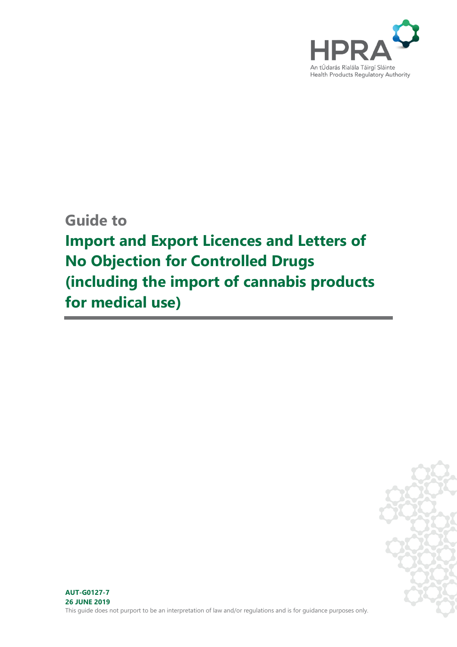

**Guide to**

**Import and Export Licences and Letters of No Objection for Controlled Drugs (including the import of cannabis products for medical use)**

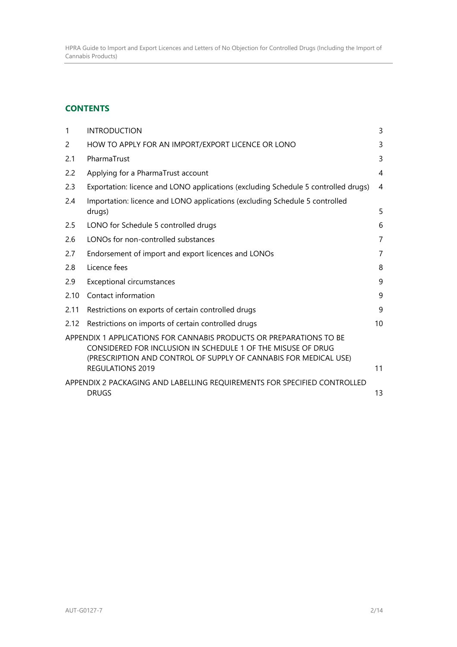HPRA Guide to Import and Export Licences and Letters of No Objection for Controlled Drugs (Including the Import of Cannabis Products)

# **CONTENTS**

| $\mathbf{1}$ | <b>INTRODUCTION</b>                                                                                                                                                                                                                | 3              |
|--------------|------------------------------------------------------------------------------------------------------------------------------------------------------------------------------------------------------------------------------------|----------------|
| 2            | HOW TO APPLY FOR AN IMPORT/EXPORT LICENCE OR LONO                                                                                                                                                                                  | 3              |
| 2.1          | PharmaTrust                                                                                                                                                                                                                        | 3              |
| 2.2          | Applying for a PharmaTrust account                                                                                                                                                                                                 | 4              |
| 2.3          | Exportation: licence and LONO applications (excluding Schedule 5 controlled drugs)                                                                                                                                                 | 4              |
| 2.4          | Importation: licence and LONO applications (excluding Schedule 5 controlled<br>drugs)                                                                                                                                              | 5              |
| 2.5          | LONO for Schedule 5 controlled drugs                                                                                                                                                                                               | 6              |
| 2.6          | LONOs for non-controlled substances                                                                                                                                                                                                | $\overline{7}$ |
| 2.7          | Endorsement of import and export licences and LONOs                                                                                                                                                                                | $\overline{7}$ |
| 2.8          | Licence fees                                                                                                                                                                                                                       | 8              |
| 2.9          | Exceptional circumstances                                                                                                                                                                                                          | 9              |
| 2.10         | Contact information                                                                                                                                                                                                                | 9              |
| 2.11         | Restrictions on exports of certain controlled drugs                                                                                                                                                                                | 9              |
| 2.12         | Restrictions on imports of certain controlled drugs                                                                                                                                                                                | 10             |
|              | APPENDIX 1 APPLICATIONS FOR CANNABIS PRODUCTS OR PREPARATIONS TO BE<br>CONSIDERED FOR INCLUSION IN SCHEDULE 1 OF THE MISUSE OF DRUG<br>(PRESCRIPTION AND CONTROL OF SUPPLY OF CANNABIS FOR MEDICAL USE)<br><b>REGULATIONS 2019</b> | 11             |
|              | APPENDIX 2 PACKAGING AND LABELLING REQUIREMENTS FOR SPECIFIED CONTROLLED<br><b>DRUGS</b>                                                                                                                                           | 13             |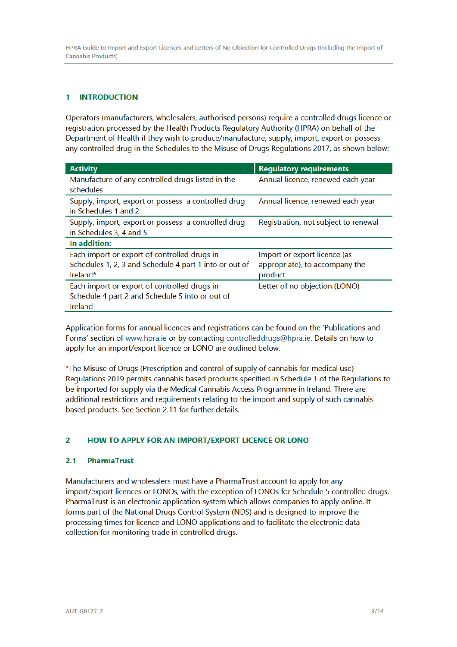#### **INTRODUCTION** 1

Operators (manufacturers, wholesalers, authorised persons) require a controlled drugs licence or registration processed by the Health Products Regulatory Authority (HPRA) on behalf of the Department of Health if they wish to produce/manufacture, supply, import, export or possess any controlled drug in the Schedules to the Misuse of Drugs Regulations 2017, as shown below:

| <b>Activity</b>                                                                                                    | <b>Regulatory requirements</b>                                            |
|--------------------------------------------------------------------------------------------------------------------|---------------------------------------------------------------------------|
| Manufacture of any controlled drugs listed in the<br>schedules                                                     | Annual licence, renewed each year                                         |
| Supply, import, export or possess a controlled drug<br>in Schedules 1 and 2                                        | Annual licence, renewed each year                                         |
| Supply, import, export or possess a controlled drug<br>in Schedules 3, 4 and 5                                     | Registration, not subject to renewal                                      |
| In addition:                                                                                                       |                                                                           |
| Each import or export of controlled drugs in<br>Schedules 1, 2, 3 and Schedule 4 part 1 into or out of<br>Ireland* | Import or export licence (as<br>appropriate), to accompany the<br>product |
| Each import or export of controlled drugs in<br>Schedule 4 part 2 and Schedule 5 into or out of<br>Ireland         | Letter of no objection (LONO)                                             |

Application forms for annual licences and registrations can be found on the 'Publications and Forms' section of www.hpra.ie or by contacting controlleddrugs@hpra.ie. Details on how to apply for an import/export licence or LONO are outlined below.

\*The Misuse of Drugs (Prescription and control of supply of cannabis for medical use) Regulations 2019 permits cannabis based products specified in Schedule 1 of the Regulations to be imported for supply via the Medical Cannabis Access Programme in Ireland. There are additional restrictions and requirements relating to the import and supply of such cannabis based products. See Section 2.11 for further details.

#### $\overline{2}$ HOW TO APPLY FOR AN IMPORT/EXPORT LICENCE OR LONO

#### $2.1$ **PharmaTrust**

Manufacturers and wholesalers must have a PharmaTrust account to apply for any import/export licences or LONOs, with the exception of LONOs for Schedule 5 controlled drugs. PharmaTrust is an electronic application system which allows companies to apply online. It forms part of the National Drugs Control System (NDS) and is designed to improve the processing times for licence and LONO applications and to facilitate the electronic data collection for monitoring trade in controlled drugs.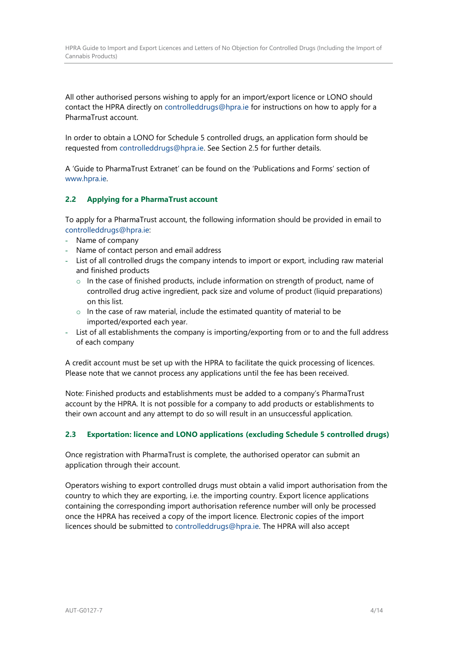All other authorised persons wishing to apply for an import/export licence or LONO should contact the HPRA directly on controlleddrugs@hpra.ie for instructions on how to apply for a PharmaTrust account.

In order to obtain a LONO for Schedule 5 controlled drugs, an application form should be requested from controlleddrugs@hpra.ie. See Section 2.5 for further details.

A 'Guide to PharmaTrust Extranet' can be found on the 'Publications and Forms' section of www.hpra.ie.

### <span id="page-3-0"></span>**2.2 Applying for a PharmaTrust account**

To apply for a PharmaTrust account, the following information should be provided in email to controlleddrugs@hpra.ie:

- Name of company
- Name of contact person and email address
- List of all controlled drugs the company intends to import or export, including raw material and finished products
	- $\circ$  In the case of finished products, include information on strength of product, name of controlled drug active ingredient, pack size and volume of product (liquid preparations) on this list.
	- $\circ$  In the case of raw material, include the estimated quantity of material to be imported/exported each year.
- List of all establishments the company is importing/exporting from or to and the full address of each company

A credit account must be set up with the HPRA to facilitate the quick processing of licences. Please note that we cannot process any applications until the fee has been received.

Note: Finished products and establishments must be added to a company's PharmaTrust account by the HPRA. It is not possible for a company to add products or establishments to their own account and any attempt to do so will result in an unsuccessful application.

### <span id="page-3-1"></span>**2.3 Exportation: licence and LONO applications (excluding Schedule 5 controlled drugs)**

Once registration with PharmaTrust is complete, the authorised operator can submit an application through their account.

Operators wishing to export controlled drugs must obtain a valid import authorisation from the country to which they are exporting, i.e. the importing country. Export licence applications containing the corresponding import authorisation reference number will only be processed once the HPRA has received a copy of the import licence. Electronic copies of the import licences should be submitted to controlleddrugs@hpra.ie. The HPRA will also accept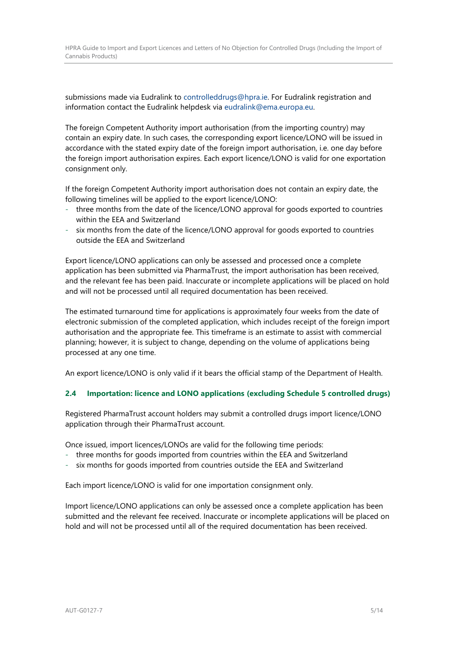HPRA Guide to Import and Export Licences and Letters of No Objection for Controlled Drugs (Including the Import of Cannabis Products)

submissions made via Eudralink to controlleddrugs@hpra.ie. For Eudralink registration and information contact the Eudralink helpdesk via eudralink@ema.europa.eu.

The foreign Competent Authority import authorisation (from the importing country) may contain an expiry date. In such cases, the corresponding export licence/LONO will be issued in accordance with the stated expiry date of the foreign import authorisation, i.e. one day before the foreign import authorisation expires. Each export licence/LONO is valid for one exportation consignment only.

If the foreign Competent Authority import authorisation does not contain an expiry date, the following timelines will be applied to the export licence/LONO:

- three months from the date of the licence/LONO approval for goods exported to countries within the EEA and Switzerland
- six months from the date of the licence/LONO approval for goods exported to countries outside the EEA and Switzerland

Export licence/LONO applications can only be assessed and processed once a complete application has been submitted via PharmaTrust, the import authorisation has been received, and the relevant fee has been paid. Inaccurate or incomplete applications will be placed on hold and will not be processed until all required documentation has been received.

The estimated turnaround time for applications is approximately four weeks from the date of electronic submission of the completed application, which includes receipt of the foreign import authorisation and the appropriate fee. This timeframe is an estimate to assist with commercial planning; however, it is subject to change, depending on the volume of applications being processed at any one time.

An export licence/LONO is only valid if it bears the official stamp of the Department of Health.

### <span id="page-4-0"></span>**2.4 Importation: licence and LONO applications (excluding Schedule 5 controlled drugs)**

Registered PharmaTrust account holders may submit a controlled drugs import licence/LONO application through their PharmaTrust account.

Once issued, import licences/LONOs are valid for the following time periods:

- three months for goods imported from countries within the EEA and Switzerland
- six months for goods imported from countries outside the EEA and Switzerland

Each import licence/LONO is valid for one importation consignment only.

Import licence/LONO applications can only be assessed once a complete application has been submitted and the relevant fee received. Inaccurate or incomplete applications will be placed on hold and will not be processed until all of the required documentation has been received.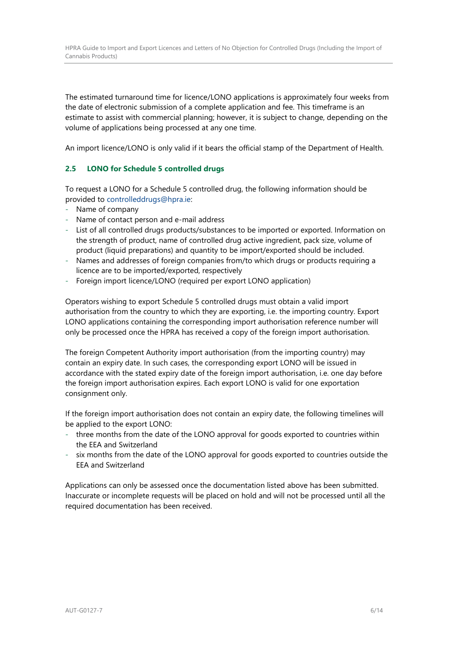The estimated turnaround time for licence/LONO applications is approximately four weeks from the date of electronic submission of a complete application and fee. This timeframe is an estimate to assist with commercial planning; however, it is subject to change, depending on the volume of applications being processed at any one time.

An import licence/LONO is only valid if it bears the official stamp of the Department of Health.

# <span id="page-5-0"></span>**2.5 LONO for Schedule 5 controlled drugs**

To request a LONO for a Schedule 5 controlled drug, the following information should be provided to controlleddrugs@hpra.ie:

- Name of company
- Name of contact person and e-mail address
- List of all controlled drugs products/substances to be imported or exported. Information on the strength of product, name of controlled drug active ingredient, pack size, volume of product (liquid preparations) and quantity to be import/exported should be included.
- Names and addresses of foreign companies from/to which drugs or products requiring a licence are to be imported/exported, respectively
- Foreign import licence/LONO (required per export LONO application)

Operators wishing to export Schedule 5 controlled drugs must obtain a valid import authorisation from the country to which they are exporting, i.e. the importing country. Export LONO applications containing the corresponding import authorisation reference number will only be processed once the HPRA has received a copy of the foreign import authorisation.

The foreign Competent Authority import authorisation (from the importing country) may contain an expiry date. In such cases, the corresponding export LONO will be issued in accordance with the stated expiry date of the foreign import authorisation, i.e. one day before the foreign import authorisation expires. Each export LONO is valid for one exportation consignment only.

If the foreign import authorisation does not contain an expiry date, the following timelines will be applied to the export LONO:

- three months from the date of the LONO approval for goods exported to countries within the EEA and Switzerland
- six months from the date of the LONO approval for goods exported to countries outside the EEA and Switzerland

Applications can only be assessed once the documentation listed above has been submitted. Inaccurate or incomplete requests will be placed on hold and will not be processed until all the required documentation has been received.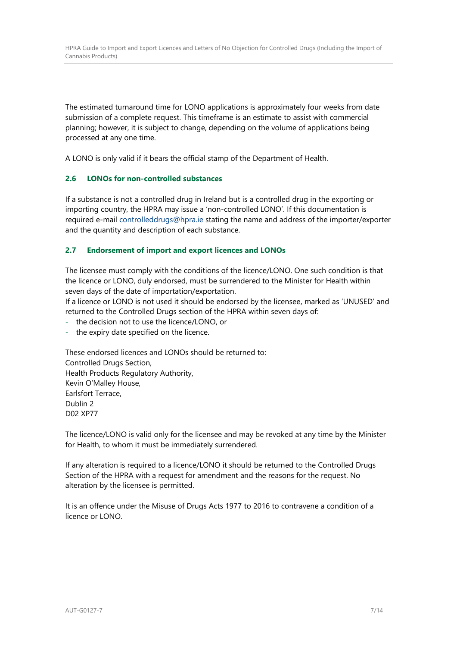The estimated turnaround time for LONO applications is approximately four weeks from date submission of a complete request. This timeframe is an estimate to assist with commercial planning; however, it is subject to change, depending on the volume of applications being processed at any one time.

A LONO is only valid if it bears the official stamp of the Department of Health.

### <span id="page-6-0"></span>**2.6 LONOs for non-controlled substances**

If a substance is not a controlled drug in Ireland but is a controlled drug in the exporting or importing country, the HPRA may issue a 'non-controlled LONO'. If this documentation is required e-mail controlleddrugs@hpra.ie stating the name and address of the importer/exporter and the quantity and description of each substance.

### <span id="page-6-1"></span>**2.7 Endorsement of import and export licences and LONOs**

The licensee must comply with the conditions of the licence/LONO. One such condition is that the licence or LONO, duly endorsed, must be surrendered to the Minister for Health within seven days of the date of importation/exportation.

If a licence or LONO is not used it should be endorsed by the licensee, marked as 'UNUSED' and returned to the Controlled Drugs section of the HPRA within seven days of:

the decision not to use the licence/LONO, or

the expiry date specified on the licence.

These endorsed licences and LONOs should be returned to: Controlled Drugs Section, Health Products Regulatory Authority, Kevin O'Malley House, Earlsfort Terrace, Dublin 2 D02 XP77

The licence/LONO is valid only for the licensee and may be revoked at any time by the Minister for Health, to whom it must be immediately surrendered.

If any alteration is required to a licence/LONO it should be returned to the Controlled Drugs Section of the HPRA with a request for amendment and the reasons for the request. No alteration by the licensee is permitted.

It is an offence under the Misuse of Drugs Acts 1977 to 2016 to contravene a condition of a licence or LONO.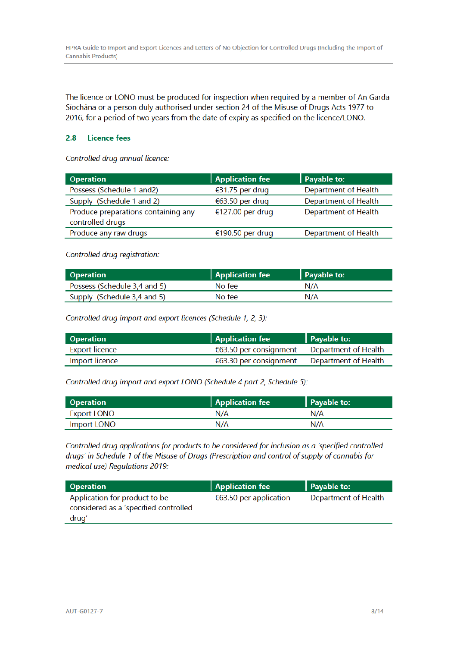The licence or LONO must be produced for inspection when required by a member of An Garda Síochána or a person duly authorised under section 24 of the Misuse of Drugs Acts 1977 to 2016, for a period of two years from the date of expiry as specified on the licence/LONO.

#### $2.8$ **Licence fees**

Controlled drug annual licence:

| <b>Operation</b>                    | <b>Application fee</b> | Payable to:                 |
|-------------------------------------|------------------------|-----------------------------|
| Possess (Schedule 1 and2)           | €31.75 per drug        | <b>Department of Health</b> |
| Supply (Schedule 1 and 2)           | €63.50 per drug        | Department of Health        |
| Produce preparations containing any | €127.00 per drug       | <b>Department of Health</b> |
| controlled drugs                    |                        |                             |
| Produce any raw drugs               | €190.50 per drug       | <b>Department of Health</b> |
|                                     |                        |                             |

Controlled drug registration:

| <b>Operation</b>             | <b>Application fee</b> | Payable to: |
|------------------------------|------------------------|-------------|
| Possess (Schedule 3,4 and 5) | No fee                 | N/A         |
| Supply (Schedule 3,4 and 5)  | No fee                 | N/A         |

Controlled drug import and export licences (Schedule 1, 2, 3):

| <b>Operation</b> | Application fee                               | Payable to: |
|------------------|-----------------------------------------------|-------------|
| Export licence   | $663.50$ per consignment Department of Health |             |
| Import licence   | $663.30$ per consignment Department of Health |             |

Controlled drug import and export LONO (Schedule 4 part 2, Schedule 5):

| <b>Operation</b>   | <b>Application fee</b> | Payable to: |
|--------------------|------------------------|-------------|
| Export LONO        | N/A                    | N/A         |
| <b>Import LONO</b> | N/A                    | N/A         |

Controlled drug applications for products to be considered for inclusion as a 'specified controlled drugs' in Schedule 1 of the Misuse of Drugs (Prescription and control of supply of cannabis for medical use) Regulations 2019:

| <b>Operation</b>                                                                | <b>Application fee</b> | Payable to:          |
|---------------------------------------------------------------------------------|------------------------|----------------------|
| Application for product to be<br>considered as a 'specified controlled<br>drugʻ | €63.50 per application | Department of Health |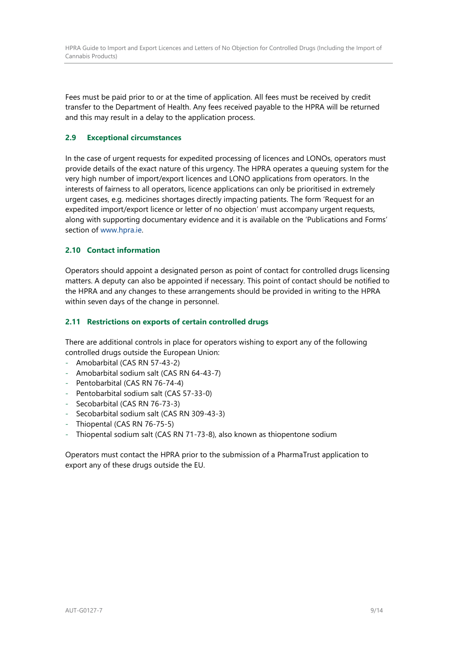Fees must be paid prior to or at the time of application. All fees must be received by credit transfer to the Department of Health. Any fees received payable to the HPRA will be returned and this may result in a delay to the application process.

# <span id="page-8-0"></span>**2.9 Exceptional circumstances**

In the case of urgent requests for expedited processing of licences and LONOs, operators must provide details of the exact nature of this urgency. The HPRA operates a queuing system for the very high number of import/export licences and LONO applications from operators. In the interests of fairness to all operators, licence applications can only be prioritised in extremely urgent cases, e.g. medicines shortages directly impacting patients. The form 'Request for an expedited import/export licence or letter of no objection' must accompany urgent requests, along with supporting documentary evidence and it is available on the 'Publications and Forms' section of www.hpra.ie.

### <span id="page-8-1"></span>**2.10 Contact information**

Operators should appoint a designated person as point of contact for controlled drugs licensing matters. A deputy can also be appointed if necessary. This point of contact should be notified to the HPRA and any changes to these arrangements should be provided in writing to the HPRA within seven days of the change in personnel.

### <span id="page-8-2"></span>**2.11 Restrictions on exports of certain controlled drugs**

There are additional controls in place for operators wishing to export any of the following controlled drugs outside the European Union:

- Amobarbital (CAS RN 57-43-2)
- Amobarbital sodium salt (CAS RN 64-43-7)
- Pentobarbital (CAS RN 76-74-4)
- Pentobarbital sodium salt (CAS 57-33-0)
- Secobarbital (CAS RN 76-73-3)
- Secobarbital sodium salt (CAS RN 309-43-3)
- Thiopental (CAS RN 76-75-5)
- Thiopental sodium salt (CAS RN 71-73-8), also known as thiopentone sodium

Operators must contact the HPRA prior to the submission of a PharmaTrust application to export any of these drugs outside the EU.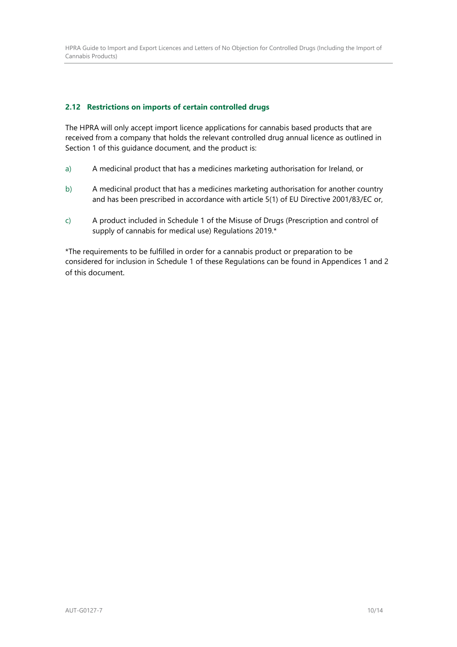### <span id="page-9-0"></span>**2.12 Restrictions on imports of certain controlled drugs**

The HPRA will only accept import licence applications for cannabis based products that are received from a company that holds the relevant controlled drug annual licence as outlined in Section 1 of this guidance document, and the product is:

- a) A medicinal product that has a medicines marketing authorisation for Ireland, or
- b) A medicinal product that has a medicines marketing authorisation for another country and has been prescribed in accordance with article 5(1) of EU Directive 2001/83/EC or,
- c) A product included in Schedule 1 of the Misuse of Drugs (Prescription and control of supply of cannabis for medical use) Regulations 2019.\*

\*The requirements to be fulfilled in order for a cannabis product or preparation to be considered for inclusion in Schedule 1 of these Regulations can be found in Appendices 1 and 2 of this document.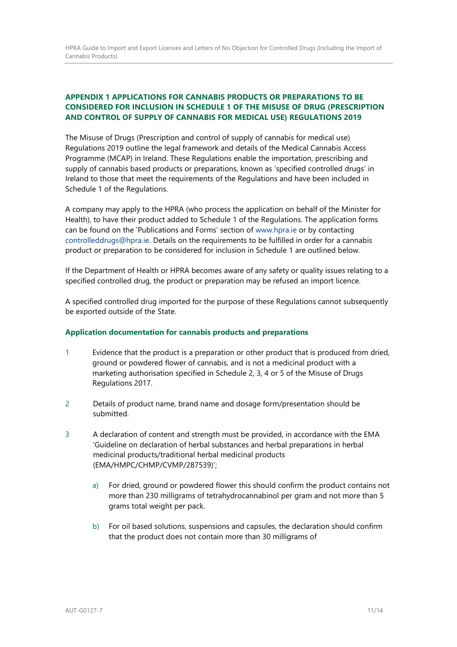# <span id="page-10-0"></span>**APPENDIX 1 APPLICATIONS FOR CANNABIS PRODUCTS OR PREPARATIONS TO BE CONSIDERED FOR INCLUSION IN SCHEDULE 1 OF THE MISUSE OF DRUG (PRESCRIPTION AND CONTROL OF SUPPLY OF CANNABIS FOR MEDICAL USE) REGULATIONS 2019**

The Misuse of Drugs (Prescription and control of supply of cannabis for medical use) Regulations 2019 outline the legal framework and details of the Medical Cannabis Access Programme (MCAP) in Ireland. These Regulations enable the importation, prescribing and supply of cannabis based products or preparations, known as 'specified controlled drugs' in Ireland to those that meet the requirements of the Regulations and have been included in Schedule 1 of the Regulations.

A company may apply to the HPRA (who process the application on behalf of the Minister for Health), to have their product added to Schedule 1 of the Regulations. The application forms can be found on the 'Publications and Forms' section of www.hpra.ie or by contacting controlleddrugs@hpra.ie. Details on the requirements to be fulfilled in order for a cannabis product or preparation to be considered for inclusion in Schedule 1 are outlined below.

If the Department of Health or HPRA becomes aware of any safety or quality issues relating to a specified controlled drug, the product or preparation may be refused an import licence.

A specified controlled drug imported for the purpose of these Regulations cannot subsequently be exported outside of the State.

### **Application documentation for cannabis products and preparations**

- 1 Evidence that the product is a preparation or other product that is produced from dried, ground or powdered flower of cannabis, and is not a medicinal product with a marketing authorisation specified in Schedule 2, 3, 4 or 5 of the Misuse of Drugs Regulations 2017.
- 2 Details of product name, brand name and dosage form/presentation should be submitted.
- 3 A declaration of content and strength must be provided, in accordance with the EMA 'Guideline on declaration of herbal substances and herbal preparations in herbal medicinal products/traditional herbal medicinal products (EMA/HMPC/CHMP/CVMP/287539)';
	- a) For dried, ground or powdered flower this should confirm the product contains not more than 230 milligrams of tetrahydrocannabinol per gram and not more than 5 grams total weight per pack.
	- b) For oil based solutions, suspensions and capsules, the declaration should confirm that the product does not contain more than 30 milligrams of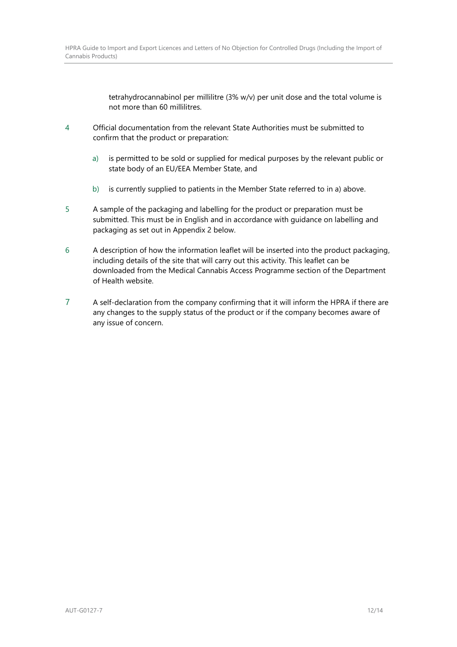tetrahydrocannabinol per millilitre (3% w/v) per unit dose and the total volume is not more than 60 millilitres.

- 4 Official documentation from the relevant State Authorities must be submitted to confirm that the product or preparation:
	- a) is permitted to be sold or supplied for medical purposes by the relevant public or state body of an EU/EEA Member State, and
	- b) is currently supplied to patients in the Member State referred to in a) above.
- 5 A sample of the packaging and labelling for the product or preparation must be submitted. This must be in English and in accordance with guidance on labelling and packaging as set out in Appendix 2 below.
- 6 A description of how the information leaflet will be inserted into the product packaging, including details of the site that will carry out this activity. This leaflet can be downloaded from the Medical Cannabis Access Programme section of the Department of Health website.
- 7 A self-declaration from the company confirming that it will inform the HPRA if there are any changes to the supply status of the product or if the company becomes aware of any issue of concern.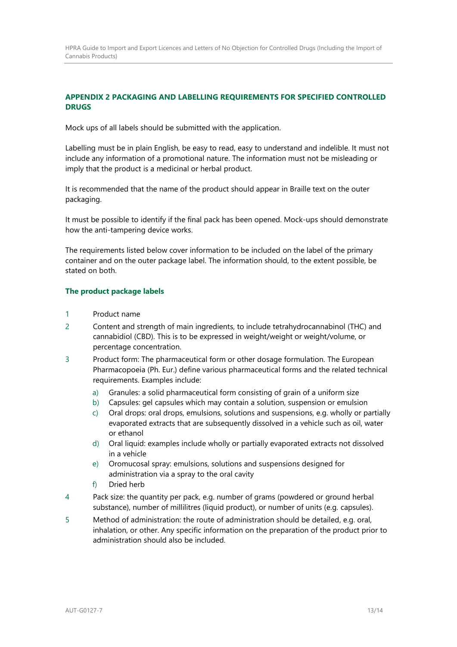# <span id="page-12-0"></span>**APPENDIX 2 PACKAGING AND LABELLING REQUIREMENTS FOR SPECIFIED CONTROLLED DRUGS**

Mock ups of all labels should be submitted with the application.

Labelling must be in plain English, be easy to read, easy to understand and indelible. It must not include any information of a promotional nature. The information must not be misleading or imply that the product is a medicinal or herbal product.

It is recommended that the name of the product should appear in Braille text on the outer packaging.

It must be possible to identify if the final pack has been opened. Mock-ups should demonstrate how the anti-tampering device works.

The requirements listed below cover information to be included on the label of the primary container and on the outer package label. The information should, to the extent possible, be stated on both.

### **The product package labels**

- 1 Product name
- 2 Content and strength of main ingredients, to include tetrahydrocannabinol (THC) and cannabidiol (CBD). This is to be expressed in weight/weight or weight/volume, or percentage concentration.
- 3 Product form: The pharmaceutical form or other dosage formulation. The European Pharmacopoeia (Ph. Eur.) define various pharmaceutical forms and the related technical requirements. Examples include:
	- a) Granules: a solid pharmaceutical form consisting of grain of a uniform size
	- b) Capsules: gel capsules which may contain a solution, suspension or emulsion
	- c) Oral drops: oral drops, emulsions, solutions and suspensions, e.g. wholly or partially evaporated extracts that are subsequently dissolved in a vehicle such as oil, water or ethanol
	- d) Oral liquid: examples include wholly or partially evaporated extracts not dissolved in a vehicle
	- e) Oromucosal spray: emulsions, solutions and suspensions designed for administration via a spray to the oral cavity
	- f) Dried herb
- 4 Pack size: the quantity per pack, e.g. number of grams (powdered or ground herbal substance), number of millilitres (liquid product), or number of units (e.g. capsules).
- 5 Method of administration: the route of administration should be detailed, e.g. oral, inhalation, or other. Any specific information on the preparation of the product prior to administration should also be included.